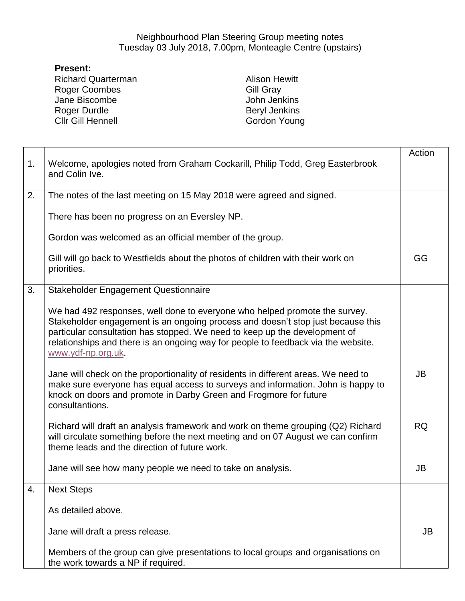## Neighbourhood Plan Steering Group meeting notes Tuesday 03 July 2018, 7.00pm, Monteagle Centre (upstairs)

## **Present:**

Richard Quarterman Roger Coombes Jane Biscombe Roger Durdle Cllr Gill Hennell

Alison Hewitt Gill Gray John Jenkins Beryl Jenkins Gordon Young

|    |                                                                                                                                                                                                                                                                                                                                                        | Action    |
|----|--------------------------------------------------------------------------------------------------------------------------------------------------------------------------------------------------------------------------------------------------------------------------------------------------------------------------------------------------------|-----------|
| 1. | Welcome, apologies noted from Graham Cockarill, Philip Todd, Greg Easterbrook<br>and Colin Ive.                                                                                                                                                                                                                                                        |           |
| 2. | The notes of the last meeting on 15 May 2018 were agreed and signed.                                                                                                                                                                                                                                                                                   |           |
|    | There has been no progress on an Eversley NP.                                                                                                                                                                                                                                                                                                          |           |
|    | Gordon was welcomed as an official member of the group.                                                                                                                                                                                                                                                                                                |           |
|    | Gill will go back to Westfields about the photos of children with their work on<br>priorities.                                                                                                                                                                                                                                                         | GG        |
| 3. | Stakeholder Engagement Questionnaire                                                                                                                                                                                                                                                                                                                   |           |
|    | We had 492 responses, well done to everyone who helped promote the survey.<br>Stakeholder engagement is an ongoing process and doesn't stop just because this<br>particular consultation has stopped. We need to keep up the development of<br>relationships and there is an ongoing way for people to feedback via the website.<br>www.ydf-np.org.uk. |           |
|    | Jane will check on the proportionality of residents in different areas. We need to<br>make sure everyone has equal access to surveys and information. John is happy to<br>knock on doors and promote in Darby Green and Frogmore for future<br>consultantions.                                                                                         | JB        |
|    | Richard will draft an analysis framework and work on theme grouping (Q2) Richard<br>will circulate something before the next meeting and on 07 August we can confirm<br>theme leads and the direction of future work.                                                                                                                                  | <b>RQ</b> |
|    | Jane will see how many people we need to take on analysis.                                                                                                                                                                                                                                                                                             | JB        |
| 4. | <b>Next Steps</b>                                                                                                                                                                                                                                                                                                                                      |           |
|    | As detailed above.                                                                                                                                                                                                                                                                                                                                     |           |
|    | Jane will draft a press release.                                                                                                                                                                                                                                                                                                                       | <b>JB</b> |
|    | Members of the group can give presentations to local groups and organisations on<br>the work towards a NP if required.                                                                                                                                                                                                                                 |           |